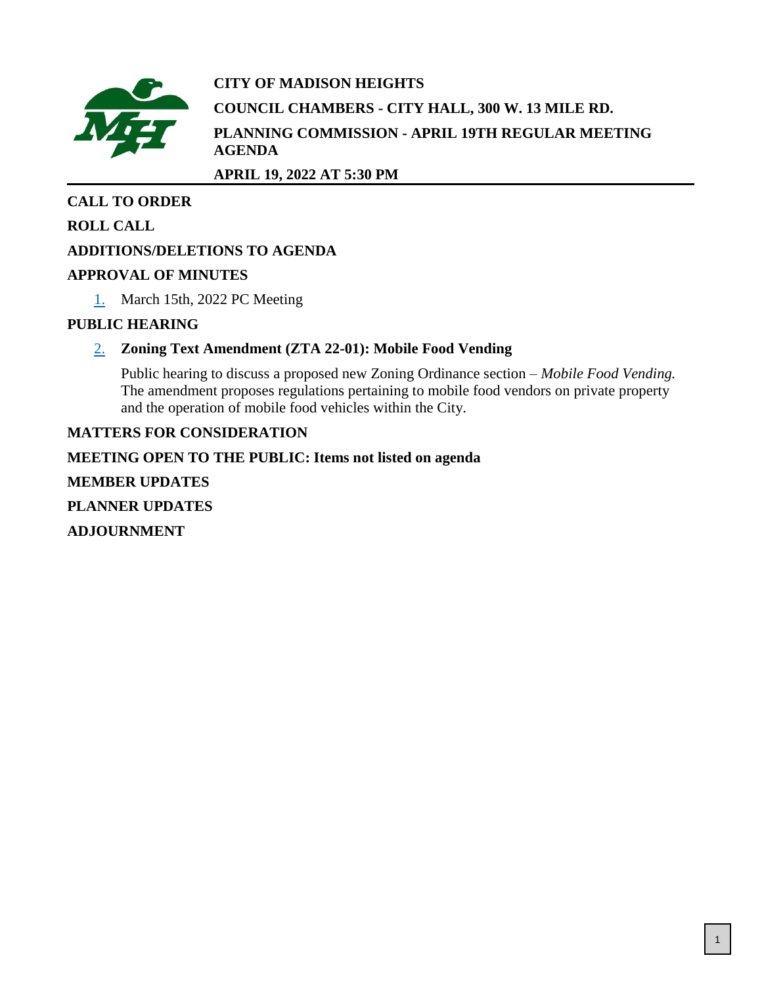

# **CITY OF MADISON HEIGHTS COUNCIL CHAMBERS - CITY HALL, 300 W. 13 MILE RD. PLANNING COMMISSION - APRIL 19TH REGULAR MEETING AGENDA**

**APRIL 19, 2022 AT 5:30 PM**

# **CALL TO ORDER**

# **ROLL CALL**

# **ADDITIONS/DELETIONS TO AGENDA**

# **APPROVAL OF MINUTES**

[1.](#page-1-0) March 15th, 2022 PC Meeting

# **PUBLIC HEARING**

# [2.](#page-5-0) **Zoning Text Amendment (ZTA 22-01): Mobile Food Vending**

Public hearing to discuss a proposed new Zoning Ordinance section – *Mobile Food Vending.* The amendment proposes regulations pertaining to mobile food vendors on private property and the operation of mobile food vehicles within the City.

# **MATTERS FOR CONSIDERATION**

**MEETING OPEN TO THE PUBLIC: Items not listed on agenda MEMBER UPDATES PLANNER UPDATES ADJOURNMENT**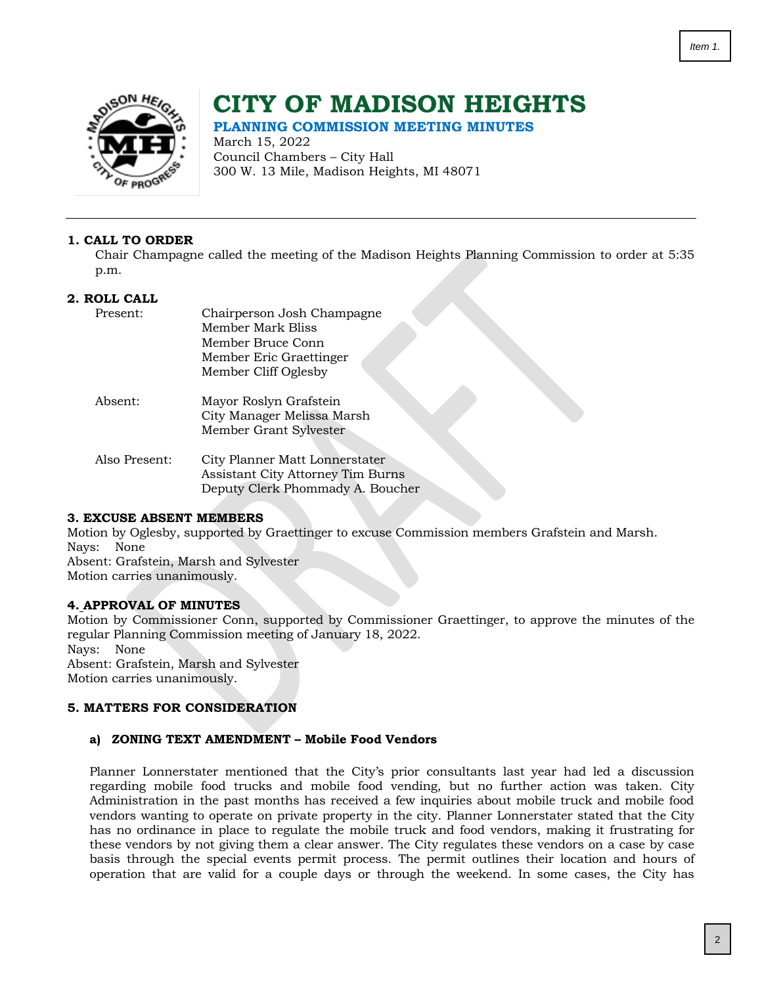<span id="page-1-0"></span>

# **CITY OF MADISON HEIGHTS**

**PLANNING COMMISSION MEETING MINUTES**

March 15, 2022 Council Chambers – City Hall 300 W. 13 Mile, Madison Heights, MI 48071

## **1. CALL TO ORDER**

Chair Champagne called the meeting of the Madison Heights Planning Commission to order at 5:35 p.m.

## **2. ROLL CALL**

| Present:      | Chairperson Josh Champagne               |
|---------------|------------------------------------------|
|               | Member Mark Bliss                        |
|               | Member Bruce Conn                        |
|               | Member Eric Graettinger                  |
|               | Member Cliff Oglesby                     |
| Absent:       | Mayor Roslyn Grafstein                   |
|               | City Manager Melissa Marsh               |
|               | Member Grant Sylvester                   |
| Also Present: | City Planner Matt Lonnerstater           |
|               | <b>Assistant City Attorney Tim Burns</b> |
|               | Deputy Clerk Phommady A. Boucher         |

## **3. EXCUSE ABSENT MEMBERS**

Motion by Oglesby, supported by Graettinger to excuse Commission members Grafstein and Marsh. Nays: None Absent: Grafstein, Marsh and Sylvester

Motion carries unanimously.

# **4. APPROVAL OF MINUTES**

Motion by Commissioner Conn, supported by Commissioner Graettinger, to approve the minutes of the regular Planning Commission meeting of January 18, 2022. Nays: None Absent: Grafstein, Marsh and Sylvester Motion carries unanimously.

## **5. MATTERS FOR CONSIDERATION**

#### **a) ZONING TEXT AMENDMENT – Mobile Food Vendors**

Planner Lonnerstater mentioned that the City's prior consultants last year had led a discussion regarding mobile food trucks and mobile food vending, but no further action was taken. City Administration in the past months has received a few inquiries about mobile truck and mobile food vendors wanting to operate on private property in the city. Planner Lonnerstater stated that the City has no ordinance in place to regulate the mobile truck and food vendors, making it frustrating for these vendors by not giving them a clear answer. The City regulates these vendors on a case by case basis through the special events permit process. The permit outlines their location and hours of operation that are valid for a couple days or through the weekend. In some cases, the City has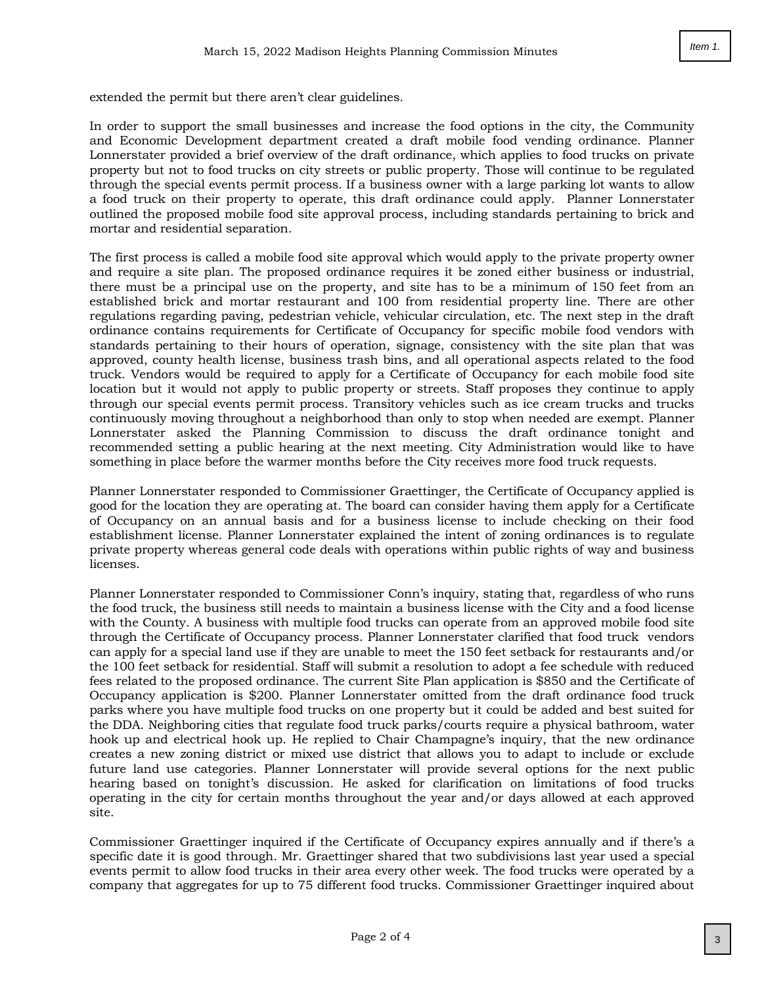extended the permit but there aren't clear guidelines.

In order to support the small businesses and increase the food options in the city, the Community and Economic Development department created a draft mobile food vending ordinance. Planner Lonnerstater provided a brief overview of the draft ordinance, which applies to food trucks on private property but not to food trucks on city streets or public property. Those will continue to be regulated through the special events permit process. If a business owner with a large parking lot wants to allow a food truck on their property to operate, this draft ordinance could apply. Planner Lonnerstater outlined the proposed mobile food site approval process, including standards pertaining to brick and mortar and residential separation.

The first process is called a mobile food site approval which would apply to the private property owner and require a site plan. The proposed ordinance requires it be zoned either business or industrial, there must be a principal use on the property, and site has to be a minimum of 150 feet from an established brick and mortar restaurant and 100 from residential property line. There are other regulations regarding paving, pedestrian vehicle, vehicular circulation, etc. The next step in the draft ordinance contains requirements for Certificate of Occupancy for specific mobile food vendors with standards pertaining to their hours of operation, signage, consistency with the site plan that was approved, county health license, business trash bins, and all operational aspects related to the food truck. Vendors would be required to apply for a Certificate of Occupancy for each mobile food site location but it would not apply to public property or streets. Staff proposes they continue to apply through our special events permit process. Transitory vehicles such as ice cream trucks and trucks continuously moving throughout a neighborhood than only to stop when needed are exempt. Planner Lonnerstater asked the Planning Commission to discuss the draft ordinance tonight and recommended setting a public hearing at the next meeting. City Administration would like to have something in place before the warmer months before the City receives more food truck requests.

Planner Lonnerstater responded to Commissioner Graettinger, the Certificate of Occupancy applied is good for the location they are operating at. The board can consider having them apply for a Certificate of Occupancy on an annual basis and for a business license to include checking on their food establishment license. Planner Lonnerstater explained the intent of zoning ordinances is to regulate private property whereas general code deals with operations within public rights of way and business licenses.

Planner Lonnerstater responded to Commissioner Conn's inquiry, stating that, regardless of who runs the food truck, the business still needs to maintain a business license with the City and a food license with the County. A business with multiple food trucks can operate from an approved mobile food site through the Certificate of Occupancy process. Planner Lonnerstater clarified that food truck vendors can apply for a special land use if they are unable to meet the 150 feet setback for restaurants and/or the 100 feet setback for residential. Staff will submit a resolution to adopt a fee schedule with reduced fees related to the proposed ordinance. The current Site Plan application is \$850 and the Certificate of Occupancy application is \$200. Planner Lonnerstater omitted from the draft ordinance food truck parks where you have multiple food trucks on one property but it could be added and best suited for the DDA. Neighboring cities that regulate food truck parks/courts require a physical bathroom, water hook up and electrical hook up. He replied to Chair Champagne's inquiry, that the new ordinance creates a new zoning district or mixed use district that allows you to adapt to include or exclude future land use categories. Planner Lonnerstater will provide several options for the next public hearing based on tonight's discussion. He asked for clarification on limitations of food trucks operating in the city for certain months throughout the year and/or days allowed at each approved site.

Commissioner Graettinger inquired if the Certificate of Occupancy expires annually and if there's a specific date it is good through. Mr. Graettinger shared that two subdivisions last year used a special events permit to allow food trucks in their area every other week. The food trucks were operated by a company that aggregates for up to 75 different food trucks. Commissioner Graettinger inquired about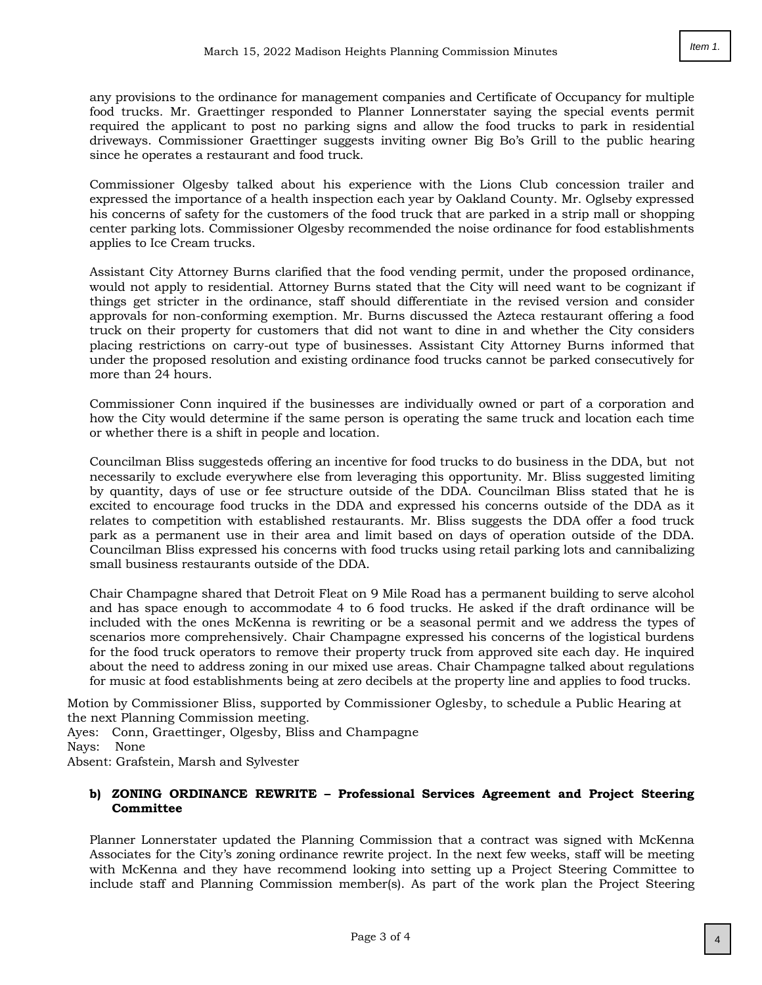any provisions to the ordinance for management companies and Certificate of Occupancy for multiple food trucks. Mr. Graettinger responded to Planner Lonnerstater saying the special events permit required the applicant to post no parking signs and allow the food trucks to park in residential driveways. Commissioner Graettinger suggests inviting owner Big Bo's Grill to the public hearing since he operates a restaurant and food truck.

Commissioner Olgesby talked about his experience with the Lions Club concession trailer and expressed the importance of a health inspection each year by Oakland County. Mr. Oglseby expressed his concerns of safety for the customers of the food truck that are parked in a strip mall or shopping center parking lots. Commissioner Olgesby recommended the noise ordinance for food establishments applies to Ice Cream trucks.

Assistant City Attorney Burns clarified that the food vending permit, under the proposed ordinance, would not apply to residential. Attorney Burns stated that the City will need want to be cognizant if things get stricter in the ordinance, staff should differentiate in the revised version and consider approvals for non-conforming exemption. Mr. Burns discussed the Azteca restaurant offering a food truck on their property for customers that did not want to dine in and whether the City considers placing restrictions on carry-out type of businesses. Assistant City Attorney Burns informed that under the proposed resolution and existing ordinance food trucks cannot be parked consecutively for more than 24 hours.

Commissioner Conn inquired if the businesses are individually owned or part of a corporation and how the City would determine if the same person is operating the same truck and location each time or whether there is a shift in people and location.

Councilman Bliss suggesteds offering an incentive for food trucks to do business in the DDA, but not necessarily to exclude everywhere else from leveraging this opportunity. Mr. Bliss suggested limiting by quantity, days of use or fee structure outside of the DDA. Councilman Bliss stated that he is excited to encourage food trucks in the DDA and expressed his concerns outside of the DDA as it relates to competition with established restaurants. Mr. Bliss suggests the DDA offer a food truck park as a permanent use in their area and limit based on days of operation outside of the DDA. Councilman Bliss expressed his concerns with food trucks using retail parking lots and cannibalizing small business restaurants outside of the DDA.

Chair Champagne shared that Detroit Fleat on 9 Mile Road has a permanent building to serve alcohol and has space enough to accommodate 4 to 6 food trucks. He asked if the draft ordinance will be included with the ones McKenna is rewriting or be a seasonal permit and we address the types of scenarios more comprehensively. Chair Champagne expressed his concerns of the logistical burdens for the food truck operators to remove their property truck from approved site each day. He inquired about the need to address zoning in our mixed use areas. Chair Champagne talked about regulations for music at food establishments being at zero decibels at the property line and applies to food trucks.

Motion by Commissioner Bliss, supported by Commissioner Oglesby, to schedule a Public Hearing at the next Planning Commission meeting.

Ayes: Conn, Graettinger, Olgesby, Bliss and Champagne

Nays: None

Absent: Grafstein, Marsh and Sylvester

## **b) ZONING ORDINANCE REWRITE – Professional Services Agreement and Project Steering Committee**

Planner Lonnerstater updated the Planning Commission that a contract was signed with McKenna Associates for the City's zoning ordinance rewrite project. In the next few weeks, staff will be meeting with McKenna and they have recommend looking into setting up a Project Steering Committee to include staff and Planning Commission member(s). As part of the work plan the Project Steering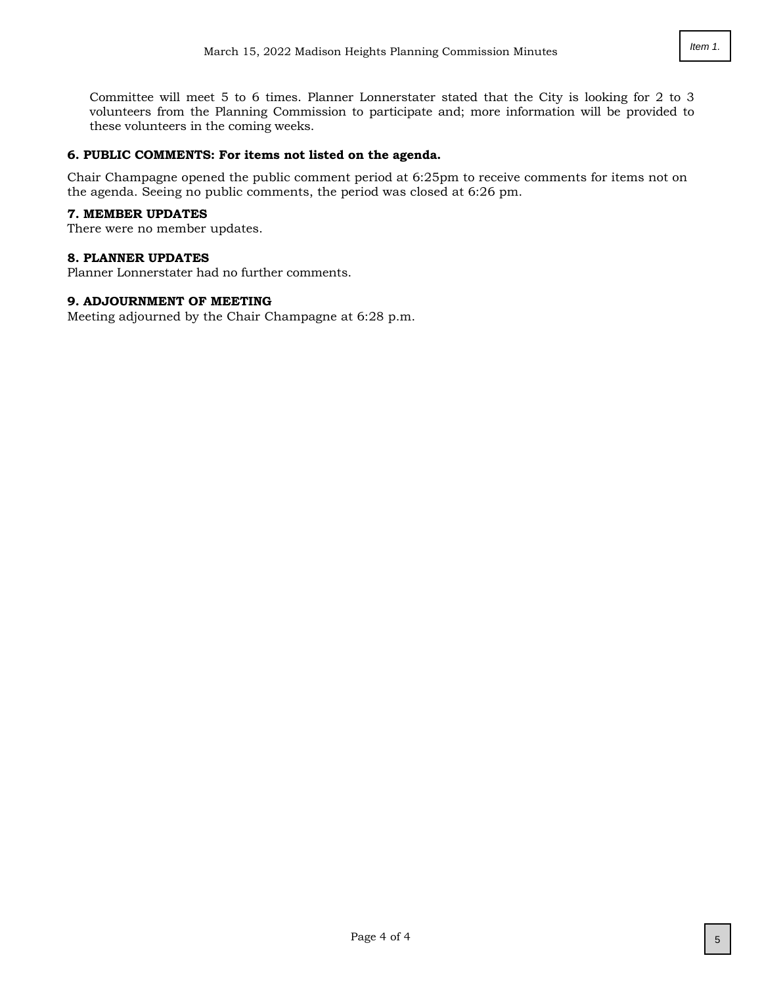# **6. PUBLIC COMMENTS: For items not listed on the agenda.**

these volunteers in the coming weeks.

Chair Champagne opened the public comment period at 6:25pm to receive comments for items not on the agenda. Seeing no public comments, the period was closed at 6:26 pm.

#### **7. MEMBER UPDATES**

There were no member updates.

#### **8. PLANNER UPDATES**

Planner Lonnerstater had no further comments.

# **9. ADJOURNMENT OF MEETING**

Meeting adjourned by the Chair Champagne at 6:28 p.m.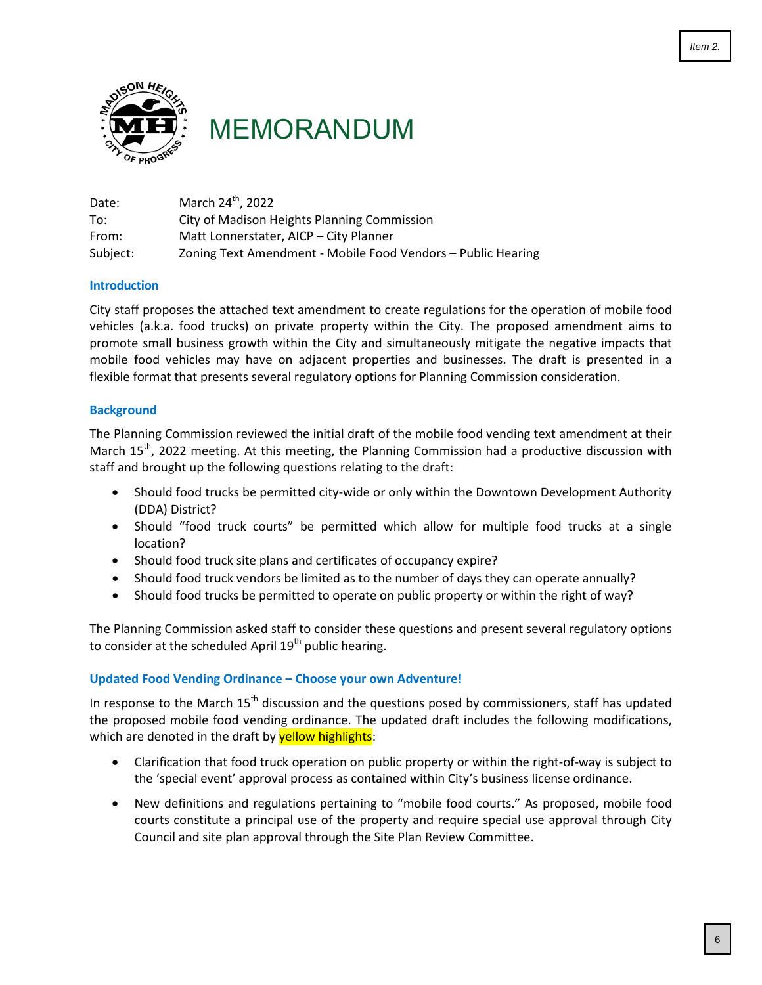<span id="page-5-0"></span>

MEMORANDUM

| Date:    | March 24 <sup>th</sup> , 2022                                |
|----------|--------------------------------------------------------------|
| To:      | City of Madison Heights Planning Commission                  |
| From:    | Matt Lonnerstater, AICP - City Planner                       |
| Subject: | Zoning Text Amendment - Mobile Food Vendors – Public Hearing |

## **Introduction**

City staff proposes the attached text amendment to create regulations for the operation of mobile food vehicles (a.k.a. food trucks) on private property within the City. The proposed amendment aims to promote small business growth within the City and simultaneously mitigate the negative impacts that mobile food vehicles may have on adjacent properties and businesses. The draft is presented in a flexible format that presents several regulatory options for Planning Commission consideration.

# **Background**

The Planning Commission reviewed the initial draft of the mobile food vending text amendment at their March 15<sup>th</sup>, 2022 meeting. At this meeting, the Planning Commission had a productive discussion with staff and brought up the following questions relating to the draft:

- Should food trucks be permitted city-wide or only within the Downtown Development Authority (DDA) District?
- Should "food truck courts" be permitted which allow for multiple food trucks at a single location?
- Should food truck site plans and certificates of occupancy expire?
- Should food truck vendors be limited as to the number of days they can operate annually?
- Should food trucks be permitted to operate on public property or within the right of way?

The Planning Commission asked staff to consider these questions and present several regulatory options to consider at the scheduled April  $19<sup>th</sup>$  public hearing.

# **Updated Food Vending Ordinance – Choose your own Adventure!**

In response to the March  $15<sup>th</sup>$  discussion and the questions posed by commissioners, staff has updated the proposed mobile food vending ordinance. The updated draft includes the following modifications, which are denoted in the draft by **yellow highlights**:

- Clarification that food truck operation on public property or within the right-of-way is subject to the 'special event' approval process as contained within City's business license ordinance.
- New definitions and regulations pertaining to "mobile food courts." As proposed, mobile food courts constitute a principal use of the property and require special use approval through City Council and site plan approval through the Site Plan Review Committee.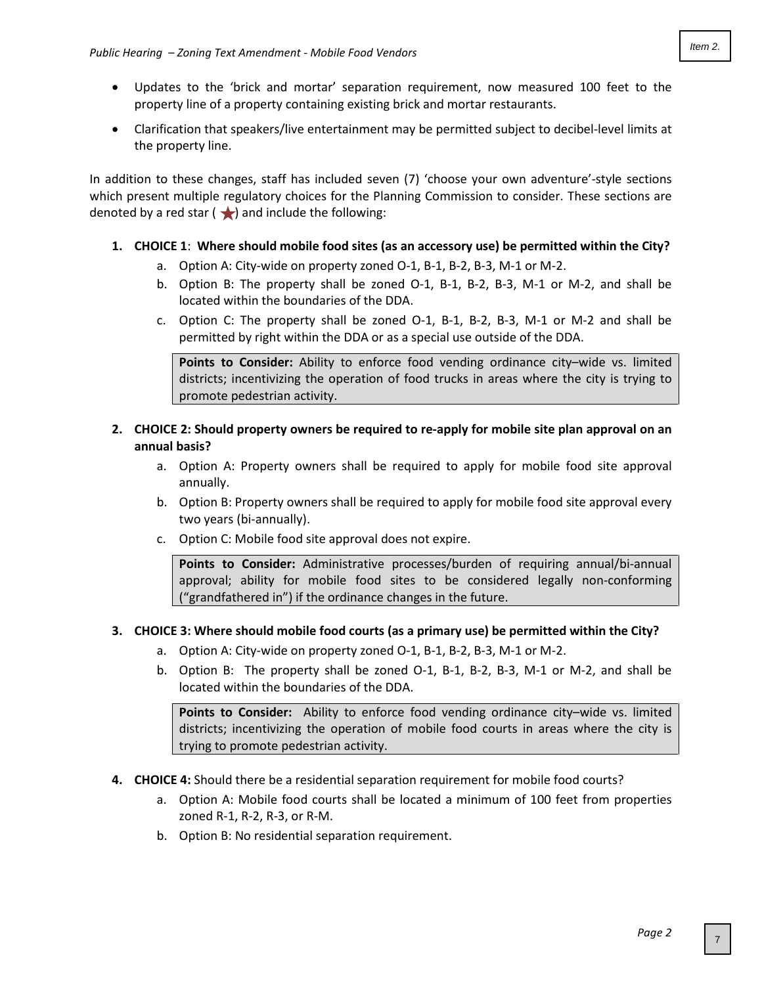- Updates to the 'brick and mortar' separation requirement, now measured 100 feet to the property line of a property containing existing brick and mortar restaurants.
- Clarification that speakers/live entertainment may be permitted subject to decibel-level limits at the property line.

In addition to these changes, staff has included seven (7) 'choose your own adventure'-style sections which present multiple regulatory choices for the Planning Commission to consider. These sections are denoted by a red star  $\left(\bigstar\right)$  and include the following:

- **1. CHOICE 1**: **Where should mobile food sites (as an accessory use) be permitted within the City?**
	- a. Option A: City-wide on property zoned O-1, B-1, B-2, B-3, M-1 or M-2.
	- b. Option B: The property shall be zoned O-1, B-1, B-2, B-3, M-1 or M-2, and shall be located within the boundaries of the DDA.
	- c. Option C: The property shall be zoned O-1, B-1, B-2, B-3, M-1 or M-2 and shall be permitted by right within the DDA or as a special use outside of the DDA.

**Points to Consider:** Ability to enforce food vending ordinance city–wide vs. limited districts; incentivizing the operation of food trucks in areas where the city is trying to promote pedestrian activity.

- **2. CHOICE 2: Should property owners be required to re-apply for mobile site plan approval on an annual basis?**
	- a. Option A: Property owners shall be required to apply for mobile food site approval annually.
	- b. Option B: Property owners shall be required to apply for mobile food site approval every two years (bi-annually).
	- c. Option C: Mobile food site approval does not expire.

**Points to Consider:** Administrative processes/burden of requiring annual/bi-annual approval; ability for mobile food sites to be considered legally non-conforming ("grandfathered in") if the ordinance changes in the future.

# **3. CHOICE 3: Where should mobile food courts (as a primary use) be permitted within the City?**

- a. Option A: City-wide on property zoned O-1, B-1, B-2, B-3, M-1 or M-2.
- b. Option B: The property shall be zoned O-1, B-1, B-2, B-3, M-1 or M-2, and shall be located within the boundaries of the DDA.

**Points to Consider:** Ability to enforce food vending ordinance city–wide vs. limited districts; incentivizing the operation of mobile food courts in areas where the city is trying to promote pedestrian activity.

- **4. CHOICE 4:** Should there be a residential separation requirement for mobile food courts?
	- a. Option A: Mobile food courts shall be located a minimum of 100 feet from properties zoned R-1, R-2, R-3, or R-M.
	- b. Option B: No residential separation requirement.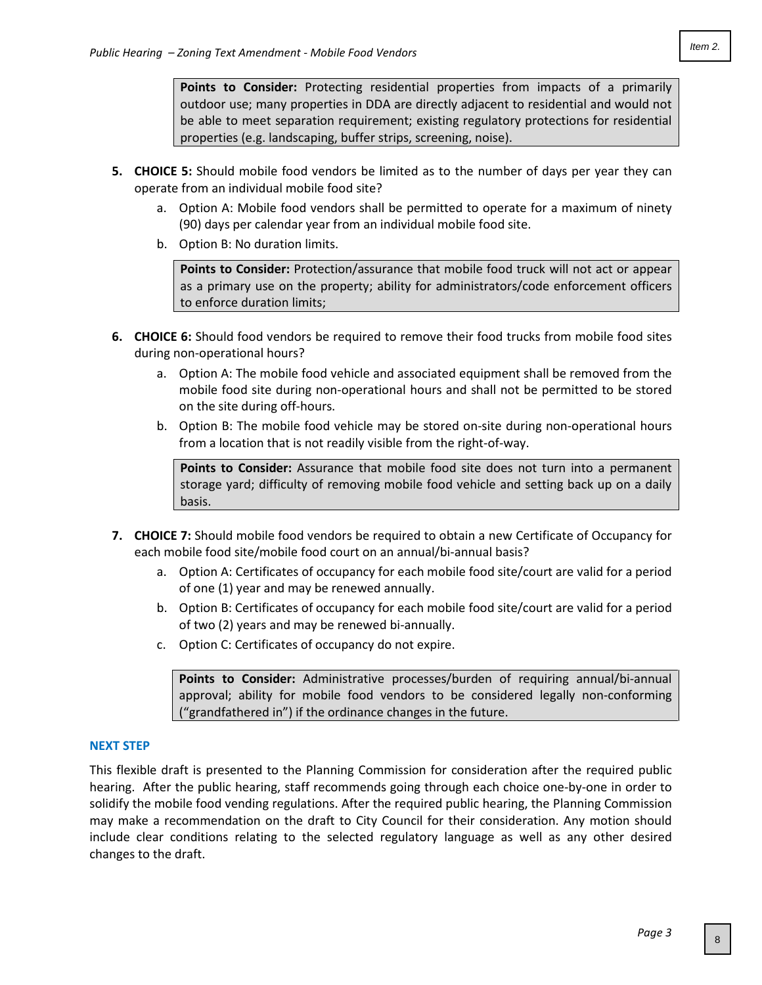**Points to Consider:** Protecting residential properties from impacts of a primarily outdoor use; many properties in DDA are directly adjacent to residential and would not be able to meet separation requirement; existing regulatory protections for residential properties (e.g. landscaping, buffer strips, screening, noise).

- **5. CHOICE 5:** Should mobile food vendors be limited as to the number of days per year they can operate from an individual mobile food site?
	- a. Option A: Mobile food vendors shall be permitted to operate for a maximum of ninety (90) days per calendar year from an individual mobile food site.
	- b. Option B: No duration limits.

**Points to Consider:** Protection/assurance that mobile food truck will not act or appear as a primary use on the property; ability for administrators/code enforcement officers to enforce duration limits;

- **6. CHOICE 6:** Should food vendors be required to remove their food trucks from mobile food sites during non-operational hours?
	- a. Option A: The mobile food vehicle and associated equipment shall be removed from the mobile food site during non-operational hours and shall not be permitted to be stored on the site during off-hours.
	- b. Option B: The mobile food vehicle may be stored on-site during non-operational hours from a location that is not readily visible from the right-of-way.

**Points to Consider:** Assurance that mobile food site does not turn into a permanent storage yard; difficulty of removing mobile food vehicle and setting back up on a daily basis.

- **7. CHOICE 7:** Should mobile food vendors be required to obtain a new Certificate of Occupancy for each mobile food site/mobile food court on an annual/bi-annual basis?
	- a. Option A: Certificates of occupancy for each mobile food site/court are valid for a period of one (1) year and may be renewed annually.
	- b. Option B: Certificates of occupancy for each mobile food site/court are valid for a period of two (2) years and may be renewed bi-annually.
	- c. Option C: Certificates of occupancy do not expire.

**Points to Consider:** Administrative processes/burden of requiring annual/bi-annual approval; ability for mobile food vendors to be considered legally non-conforming ("grandfathered in") if the ordinance changes in the future.

## **NEXT STEP**

This flexible draft is presented to the Planning Commission for consideration after the required public hearing. After the public hearing, staff recommends going through each choice one-by-one in order to solidify the mobile food vending regulations. After the required public hearing, the Planning Commission may make a recommendation on the draft to City Council for their consideration. Any motion should include clear conditions relating to the selected regulatory language as well as any other desired changes to the draft.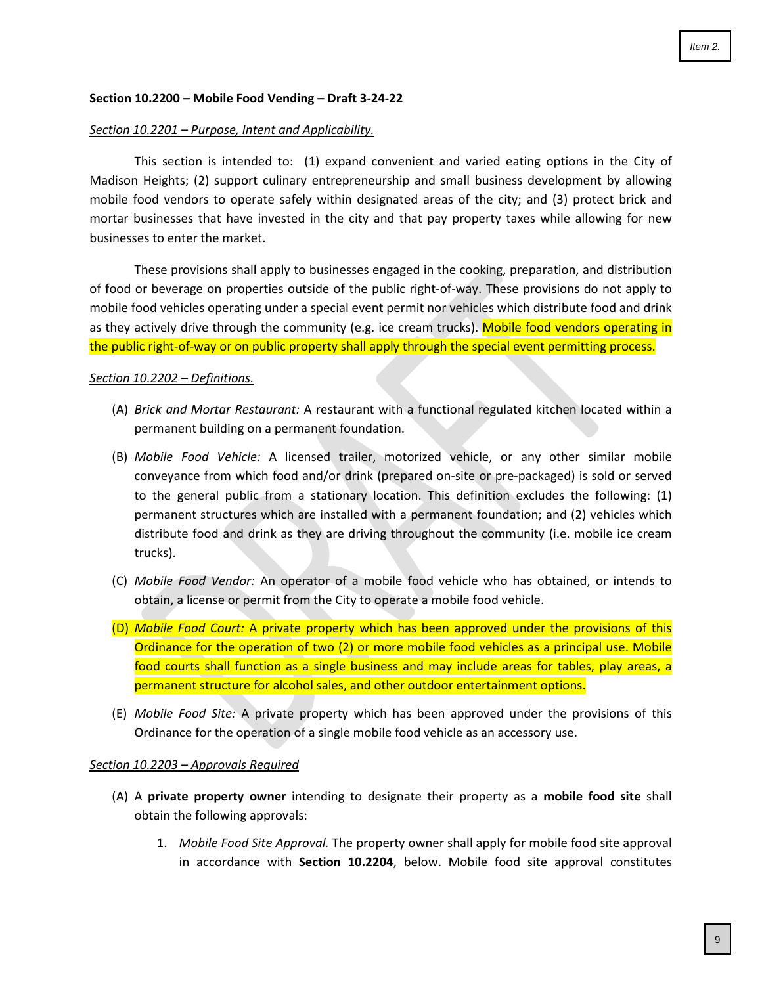#### **Section 10.2200 – Mobile Food Vending – Draft 3-24-22**

#### *Section 10.2201 – Purpose, Intent and Applicability.*

This section is intended to: (1) expand convenient and varied eating options in the City of Madison Heights; (2) support culinary entrepreneurship and small business development by allowing mobile food vendors to operate safely within designated areas of the city; and (3) protect brick and mortar businesses that have invested in the city and that pay property taxes while allowing for new businesses to enter the market.

These provisions shall apply to businesses engaged in the cooking, preparation, and distribution of food or beverage on properties outside of the public right-of-way. These provisions do not apply to mobile food vehicles operating under a special event permit nor vehicles which distribute food and drink as they actively drive through the community (e.g. ice cream trucks). Mobile food vendors operating in the public right-of-way or on public property shall apply through the special event permitting process.

#### *Section 10.2202 – Definitions.*

- (A) *Brick and Mortar Restaurant:* A restaurant with a functional regulated kitchen located within a permanent building on a permanent foundation.
- (B) *Mobile Food Vehicle:* A licensed trailer, motorized vehicle, or any other similar mobile conveyance from which food and/or drink (prepared on-site or pre-packaged) is sold or served to the general public from a stationary location. This definition excludes the following: (1) permanent structures which are installed with a permanent foundation; and (2) vehicles which distribute food and drink as they are driving throughout the community (i.e. mobile ice cream trucks).
- (C) *Mobile Food Vendor:* An operator of a mobile food vehicle who has obtained, or intends to obtain, a license or permit from the City to operate a mobile food vehicle.
- (D) *Mobile Food Court:* A private property which has been approved under the provisions of this Ordinance for the operation of two (2) or more mobile food vehicles as a principal use. Mobile food courts shall function as a single business and may include areas for tables, play areas, a permanent structure for alcohol sales, and other outdoor entertainment options.
- (E) *Mobile Food Site:* A private property which has been approved under the provisions of this Ordinance for the operation of a single mobile food vehicle as an accessory use.

#### *Section 10.2203 – Approvals Required*

- (A) A **private property owner** intending to designate their property as a **mobile food site** shall obtain the following approvals:
	- 1. *Mobile Food Site Approval.* The property owner shall apply for mobile food site approval in accordance with **Section 10.2204**, below. Mobile food site approval constitutes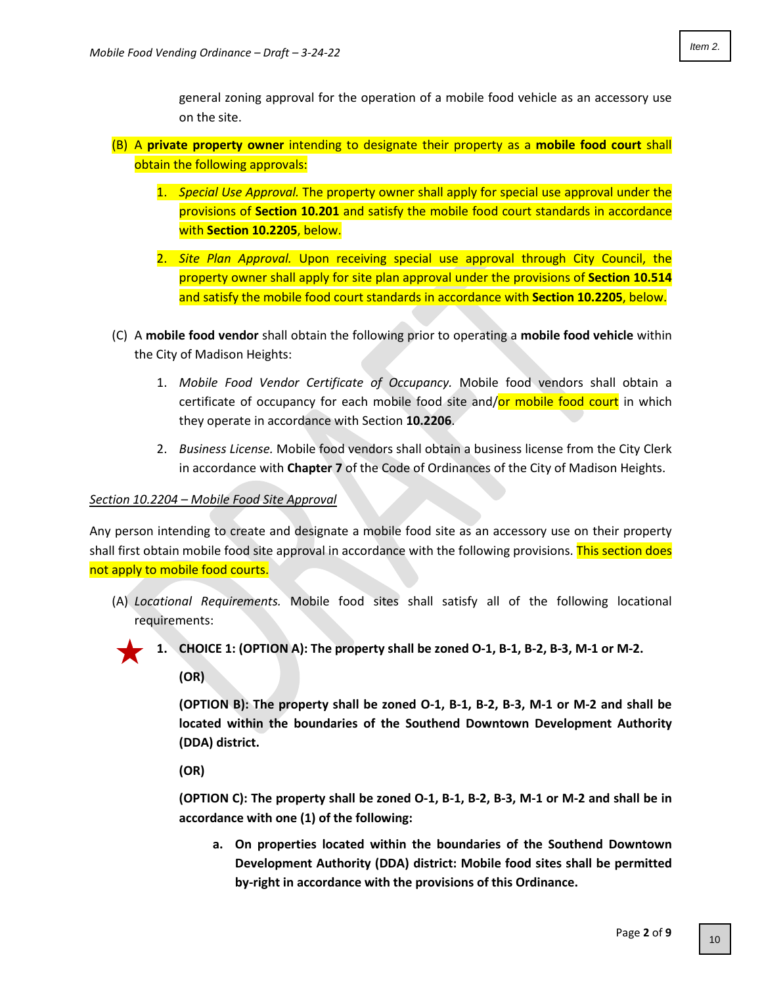general zoning approval for the operation of a mobile food vehicle as an accessory use on the site.

- (B) A **private property owner** intending to designate their property as a **mobile food court** shall obtain the following approvals:
	- 1. *Special Use Approval.* The property owner shall apply for special use approval under the provisions of **Section 10.201** and satisfy the mobile food court standards in accordance with **Section 10.2205**, below.
	- 2. *Site Plan Approval.* Upon receiving special use approval through City Council, the property owner shall apply for site plan approval under the provisions of **Section 10.514** and satisfy the mobile food court standards in accordance with **Section 10.2205**, below.
- (C) A **mobile food vendor** shall obtain the following prior to operating a **mobile food vehicle** within the City of Madison Heights:
	- 1. *Mobile Food Vendor Certificate of Occupancy.* Mobile food vendors shall obtain a certificate of occupancy for each mobile food site and/or mobile food court in which they operate in accordance with Section **10.2206**.
	- 2. *Business License.* Mobile food vendors shall obtain a business license from the City Clerk in accordance with **Chapter 7** of the Code of Ordinances of the City of Madison Heights.

## *Section 10.2204 – Mobile Food Site Approval*

Any person intending to create and designate a mobile food site as an accessory use on their property shall first obtain mobile food site approval in accordance with the following provisions. This section does not apply to mobile food courts.

(A) *Locational Requirements.* Mobile food sites shall satisfy all of the following locational requirements:



**1. CHOICE 1: (OPTION A): The property shall be zoned O-1, B-1, B-2, B-3, M-1 or M-2.** 

**(OR)**

**(OPTION B): The property shall be zoned O-1, B-1, B-2, B-3, M-1 or M-2 and shall be located within the boundaries of the Southend Downtown Development Authority (DDA) district.**

**(OR)** 

**(OPTION C): The property shall be zoned O-1, B-1, B-2, B-3, M-1 or M-2 and shall be in accordance with one (1) of the following:**

**a. On properties located within the boundaries of the Southend Downtown Development Authority (DDA) district: Mobile food sites shall be permitted by-right in accordance with the provisions of this Ordinance.**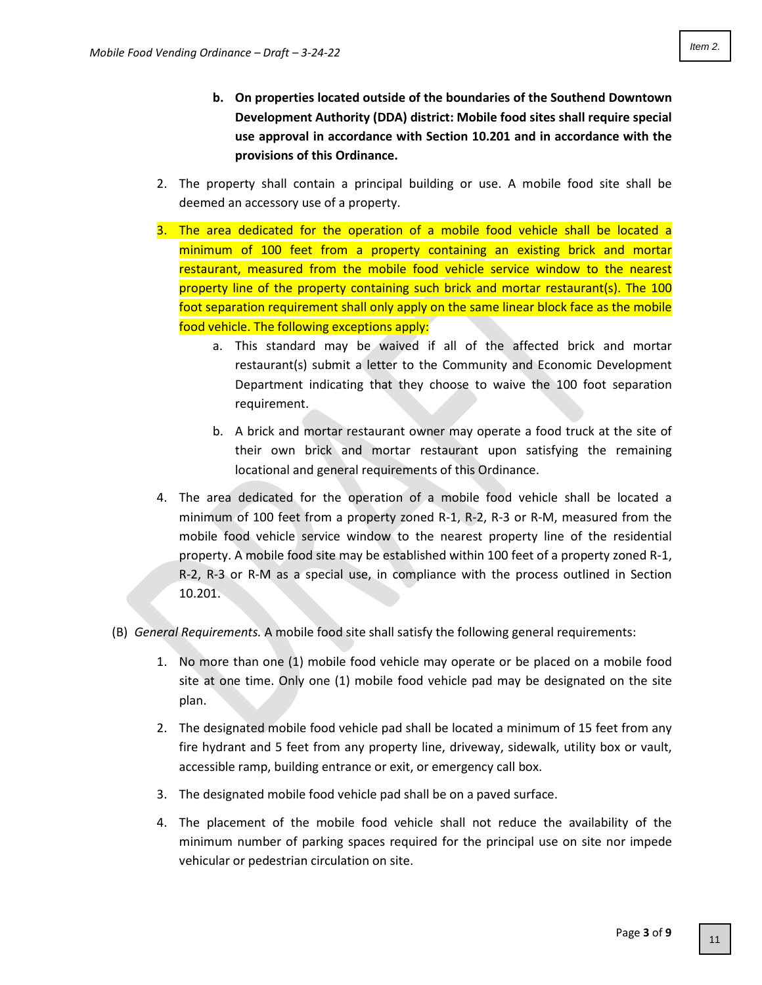- **b. On properties located outside of the boundaries of the Southend Downtown Development Authority (DDA) district: Mobile food sites shall require special use approval in accordance with Section 10.201 and in accordance with the provisions of this Ordinance.**
- 2. The property shall contain a principal building or use. A mobile food site shall be deemed an accessory use of a property.
- 3. The area dedicated for the operation of a mobile food vehicle shall be located a minimum of 100 feet from a property containing an existing brick and mortar restaurant, measured from the mobile food vehicle service window to the nearest property line of the property containing such brick and mortar restaurant(s). The 100 foot separation requirement shall only apply on the same linear block face as the mobile food vehicle. The following exceptions apply:
	- a. This standard may be waived if all of the affected brick and mortar restaurant(s) submit a letter to the Community and Economic Development Department indicating that they choose to waive the 100 foot separation requirement.
	- b. A brick and mortar restaurant owner may operate a food truck at the site of their own brick and mortar restaurant upon satisfying the remaining locational and general requirements of this Ordinance.
- 4. The area dedicated for the operation of a mobile food vehicle shall be located a minimum of 100 feet from a property zoned R-1, R-2, R-3 or R-M, measured from the mobile food vehicle service window to the nearest property line of the residential property. A mobile food site may be established within 100 feet of a property zoned R-1, R-2, R-3 or R-M as a special use, in compliance with the process outlined in Section 10.201.
- (B) *General Requirements.* A mobile food site shall satisfy the following general requirements:
	- 1. No more than one (1) mobile food vehicle may operate or be placed on a mobile food site at one time. Only one (1) mobile food vehicle pad may be designated on the site plan.
	- 2. The designated mobile food vehicle pad shall be located a minimum of 15 feet from any fire hydrant and 5 feet from any property line, driveway, sidewalk, utility box or vault, accessible ramp, building entrance or exit, or emergency call box.
	- 3. The designated mobile food vehicle pad shall be on a paved surface.
	- 4. The placement of the mobile food vehicle shall not reduce the availability of the minimum number of parking spaces required for the principal use on site nor impede vehicular or pedestrian circulation on site.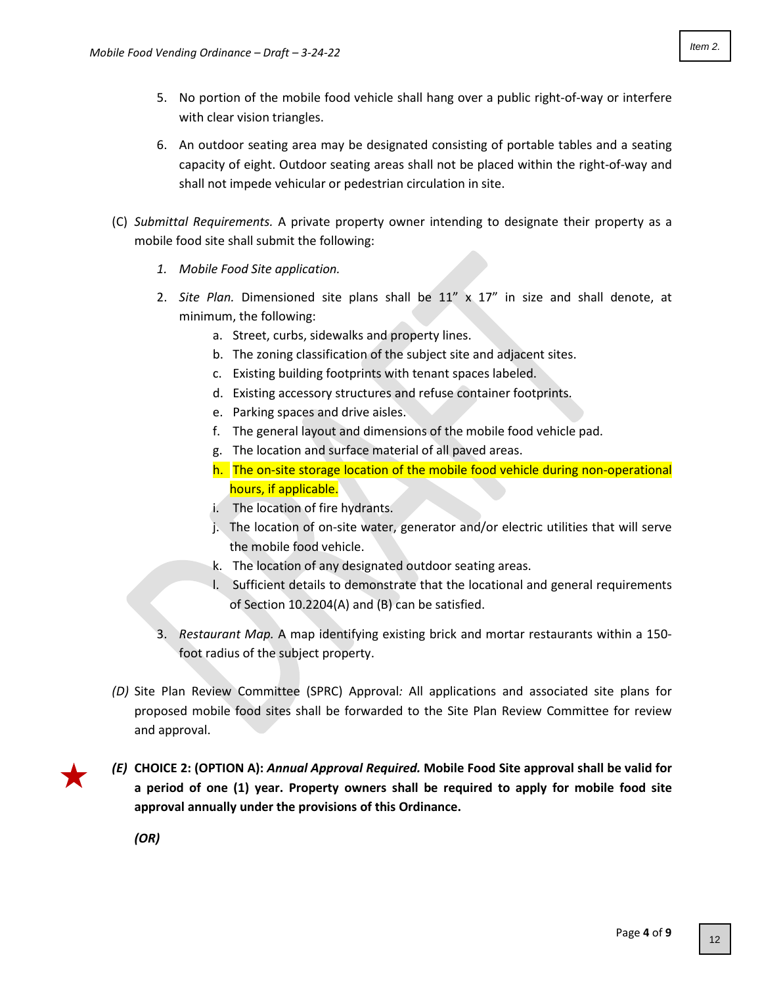- 5. No portion of the mobile food vehicle shall hang over a public right-of-way or interfere with clear vision triangles.
- 6. An outdoor seating area may be designated consisting of portable tables and a seating capacity of eight. Outdoor seating areas shall not be placed within the right-of-way and shall not impede vehicular or pedestrian circulation in site.
- (C) *Submittal Requirements.* A private property owner intending to designate their property as a mobile food site shall submit the following:
	- *1. Mobile Food Site application.*
	- 2. *Site Plan.* Dimensioned site plans shall be 11" x 17" in size and shall denote, at minimum, the following:
		- a. Street, curbs, sidewalks and property lines.
		- b. The zoning classification of the subject site and adjacent sites.
		- c. Existing building footprints with tenant spaces labeled.
		- d. Existing accessory structures and refuse container footprints.
		- e. Parking spaces and drive aisles.
		- f. The general layout and dimensions of the mobile food vehicle pad.
		- g. The location and surface material of all paved areas.
		- h. The on-site storage location of the mobile food vehicle during non-operational hours, if applicable.
		- i. The location of fire hydrants.
		- j. The location of on-site water, generator and/or electric utilities that will serve the mobile food vehicle.
		- k. The location of any designated outdoor seating areas.
		- l. Sufficient details to demonstrate that the locational and general requirements of Section 10.2204(A) and (B) can be satisfied.
	- 3. *Restaurant Map.* A map identifying existing brick and mortar restaurants within a 150 foot radius of the subject property.
- *(D)* Site Plan Review Committee (SPRC) Approval*:* All applications and associated site plans for proposed mobile food sites shall be forwarded to the Site Plan Review Committee for review and approval.
- 
- *(E)* **CHOICE 2: (OPTION A):** *Annual Approval Required.* **Mobile Food Site approval shall be valid for a period of one (1) year. Property owners shall be required to apply for mobile food site approval annually under the provisions of this Ordinance.**

*(OR)*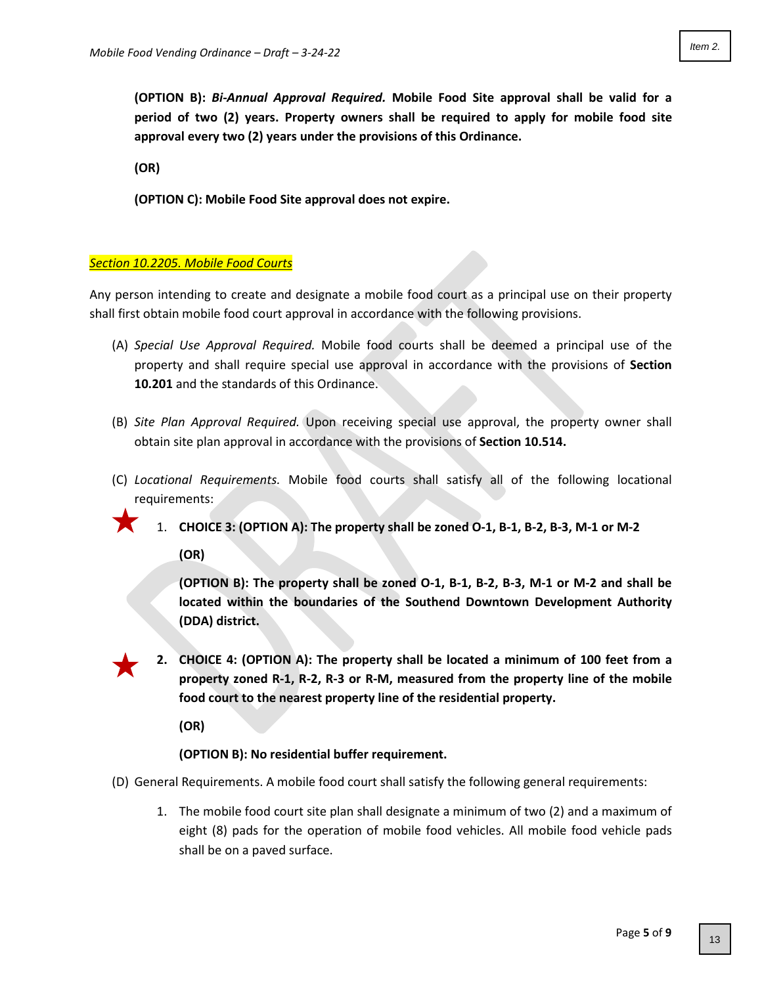**(OPTION B):** *Bi-Annual Approval Required.* **Mobile Food Site approval shall be valid for a period of two (2) years. Property owners shall be required to apply for mobile food site approval every two (2) years under the provisions of this Ordinance.** 

**(OR)**

**(OPTION C): Mobile Food Site approval does not expire.** 

# *Section 10.2205. Mobile Food Courts*

Any person intending to create and designate a mobile food court as a principal use on their property shall first obtain mobile food court approval in accordance with the following provisions.

- (A) *Special Use Approval Required.* Mobile food courts shall be deemed a principal use of the property and shall require special use approval in accordance with the provisions of **Section 10.201** and the standards of this Ordinance.
- (B) *Site Plan Approval Required.* Upon receiving special use approval, the property owner shall obtain site plan approval in accordance with the provisions of **Section 10.514.**
- (C) *Locational Requirements.* Mobile food courts shall satisfy all of the following locational requirements:
	- 1. **CHOICE 3: (OPTION A): The property shall be zoned O-1, B-1, B-2, B-3, M-1 or M-2**

**(OR)**

**(OPTION B): The property shall be zoned O-1, B-1, B-2, B-3, M-1 or M-2 and shall be located within the boundaries of the Southend Downtown Development Authority (DDA) district.** 

**2. CHOICE 4: (OPTION A): The property shall be located a minimum of 100 feet from a property zoned R-1, R-2, R-3 or R-M, measured from the property line of the mobile food court to the nearest property line of the residential property.** 

**(OR)**

**(OPTION B): No residential buffer requirement.** 

- (D) General Requirements. A mobile food court shall satisfy the following general requirements:
	- 1. The mobile food court site plan shall designate a minimum of two (2) and a maximum of eight (8) pads for the operation of mobile food vehicles. All mobile food vehicle pads shall be on a paved surface.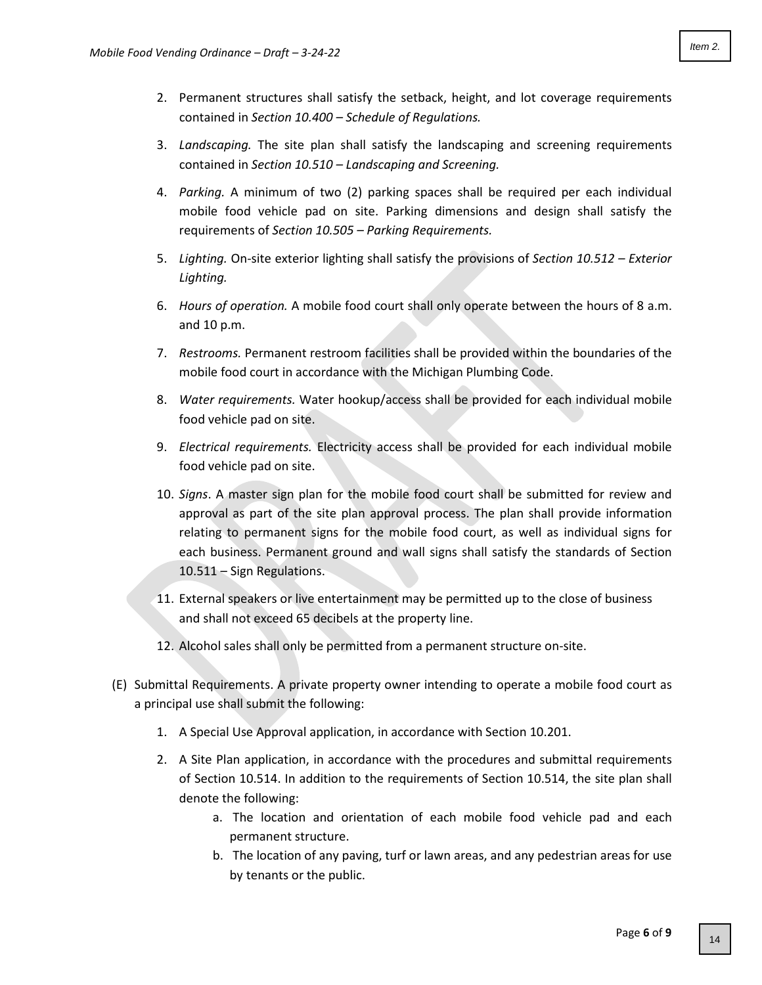- 2. Permanent structures shall satisfy the setback, height, and lot coverage requirements contained in *Section 10.400 – Schedule of Regulations.*
- 3. *Landscaping.* The site plan shall satisfy the landscaping and screening requirements contained in *Section 10.510 – Landscaping and Screening.*
- 4. *Parking.* A minimum of two (2) parking spaces shall be required per each individual mobile food vehicle pad on site. Parking dimensions and design shall satisfy the requirements of *Section 10.505 – Parking Requirements.*
- 5. *Lighting.* On-site exterior lighting shall satisfy the provisions of *Section 10.512 – Exterior Lighting.*
- 6. *Hours of operation.* A mobile food court shall only operate between the hours of 8 a.m. and 10 p.m.
- 7. *Restrooms.* Permanent restroom facilities shall be provided within the boundaries of the mobile food court in accordance with the Michigan Plumbing Code.
- 8. *Water requirements.* Water hookup/access shall be provided for each individual mobile food vehicle pad on site.
- 9. *Electrical requirements.* Electricity access shall be provided for each individual mobile food vehicle pad on site.
- 10. *Signs*. A master sign plan for the mobile food court shall be submitted for review and approval as part of the site plan approval process. The plan shall provide information relating to permanent signs for the mobile food court, as well as individual signs for each business. Permanent ground and wall signs shall satisfy the standards of Section 10.511 – Sign Regulations.
- 11. External speakers or live entertainment may be permitted up to the close of business and shall not exceed 65 decibels at the property line.
- 12. Alcohol sales shall only be permitted from a permanent structure on-site.
- (E) Submittal Requirements. A private property owner intending to operate a mobile food court as a principal use shall submit the following:
	- 1. A Special Use Approval application, in accordance with Section 10.201.
	- 2. A Site Plan application, in accordance with the procedures and submittal requirements of Section 10.514. In addition to the requirements of Section 10.514, the site plan shall denote the following:
		- a. The location and orientation of each mobile food vehicle pad and each permanent structure.
		- b. The location of any paving, turf or lawn areas, and any pedestrian areas for use by tenants or the public.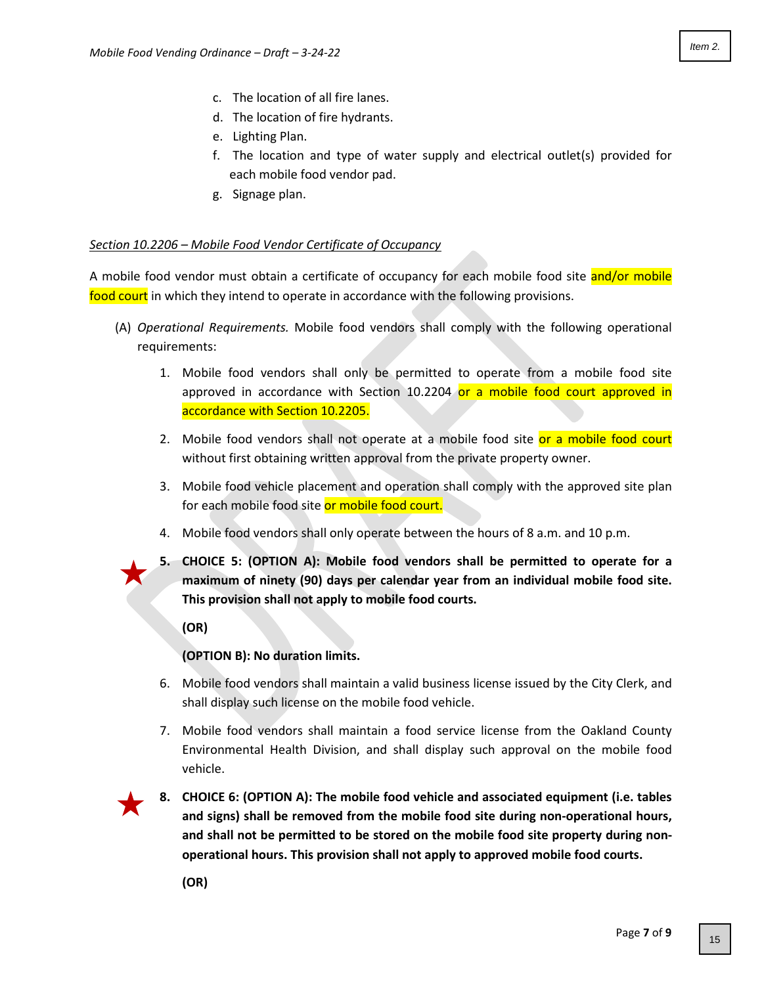- c. The location of all fire lanes.
- d. The location of fire hydrants.
- e. Lighting Plan.
- f. The location and type of water supply and electrical outlet(s) provided for each mobile food vendor pad.
- g. Signage plan.

# *Section 10.2206 – Mobile Food Vendor Certificate of Occupancy*

A mobile food vendor must obtain a certificate of occupancy for each mobile food site and/or mobile food court in which they intend to operate in accordance with the following provisions.

- (A) *Operational Requirements.* Mobile food vendors shall comply with the following operational requirements:
	- 1. Mobile food vendors shall only be permitted to operate from a mobile food site approved in accordance with Section 10.2204 or a mobile food court approved in accordance with Section 10.2205.
	- 2. Mobile food vendors shall not operate at a mobile food site or a mobile food court without first obtaining written approval from the private property owner.
	- 3. Mobile food vehicle placement and operation shall comply with the approved site plan for each mobile food site or mobile food court.
	- 4. Mobile food vendors shall only operate between the hours of 8 a.m. and 10 p.m.
	- **5. CHOICE 5: (OPTION A): Mobile food vendors shall be permitted to operate for a maximum of ninety (90) days per calendar year from an individual mobile food site. This provision shall not apply to mobile food courts.**

**(OR)**

# **(OPTION B): No duration limits.**

- 6. Mobile food vendors shall maintain a valid business license issued by the City Clerk, and shall display such license on the mobile food vehicle.
- 7. Mobile food vendors shall maintain a food service license from the Oakland County Environmental Health Division, and shall display such approval on the mobile food vehicle.



**8. CHOICE 6: (OPTION A): The mobile food vehicle and associated equipment (i.e. tables and signs) shall be removed from the mobile food site during non-operational hours, and shall not be permitted to be stored on the mobile food site property during nonoperational hours. This provision shall not apply to approved mobile food courts.**

**(OR)**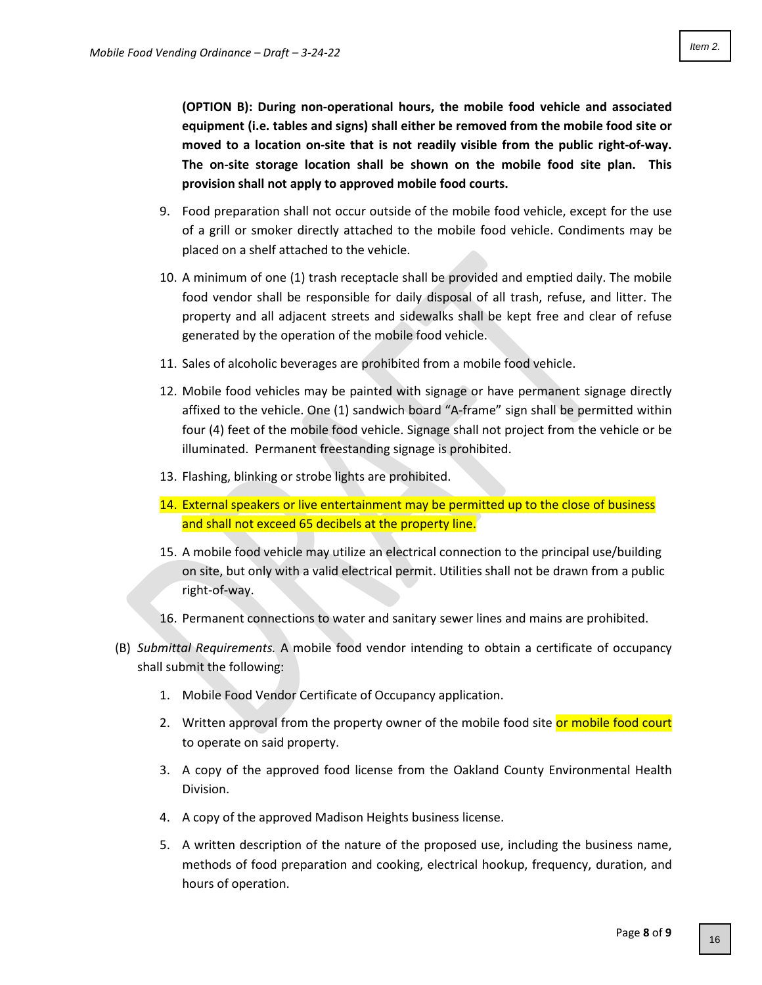**(OPTION B): During non-operational hours, the mobile food vehicle and associated equipment (i.e. tables and signs) shall either be removed from the mobile food site or moved to a location on-site that is not readily visible from the public right-of-way. The on-site storage location shall be shown on the mobile food site plan. This provision shall not apply to approved mobile food courts.** 

- 9. Food preparation shall not occur outside of the mobile food vehicle, except for the use of a grill or smoker directly attached to the mobile food vehicle. Condiments may be placed on a shelf attached to the vehicle.
- 10. A minimum of one (1) trash receptacle shall be provided and emptied daily. The mobile food vendor shall be responsible for daily disposal of all trash, refuse, and litter. The property and all adjacent streets and sidewalks shall be kept free and clear of refuse generated by the operation of the mobile food vehicle.
- 11. Sales of alcoholic beverages are prohibited from a mobile food vehicle.
- 12. Mobile food vehicles may be painted with signage or have permanent signage directly affixed to the vehicle. One (1) sandwich board "A-frame" sign shall be permitted within four (4) feet of the mobile food vehicle. Signage shall not project from the vehicle or be illuminated. Permanent freestanding signage is prohibited.
- 13. Flashing, blinking or strobe lights are prohibited.
- 14. External speakers or live entertainment may be permitted up to the close of business and shall not exceed 65 decibels at the property line.
- 15. A mobile food vehicle may utilize an electrical connection to the principal use/building on site, but only with a valid electrical permit. Utilities shall not be drawn from a public right-of-way.
- 16. Permanent connections to water and sanitary sewer lines and mains are prohibited.
- (B) *Submittal Requirements.* A mobile food vendor intending to obtain a certificate of occupancy shall submit the following:
	- 1. Mobile Food Vendor Certificate of Occupancy application.
	- 2. Written approval from the property owner of the mobile food site or mobile food court to operate on said property.
	- 3. A copy of the approved food license from the Oakland County Environmental Health Division.
	- 4. A copy of the approved Madison Heights business license.
	- 5. A written description of the nature of the proposed use, including the business name, methods of food preparation and cooking, electrical hookup, frequency, duration, and hours of operation.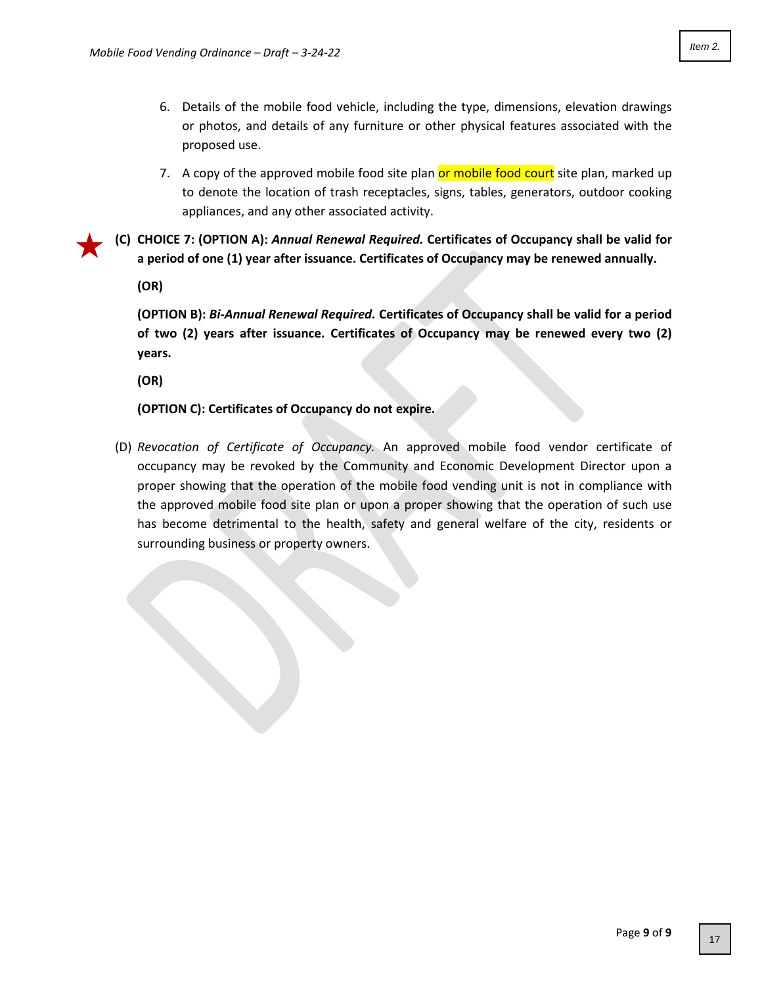- 6. Details of the mobile food vehicle, including the type, dimensions, elevation drawings or photos, and details of any furniture or other physical features associated with the proposed use.
- 7. A copy of the approved mobile food site plan or mobile food court site plan, marked up to denote the location of trash receptacles, signs, tables, generators, outdoor cooking appliances, and any other associated activity.

**(C) CHOICE 7: (OPTION A):** *Annual Renewal Required.* **Certificates of Occupancy shall be valid for a period of one (1) year after issuance. Certificates of Occupancy may be renewed annually.** 

**(OR)**

**(OPTION B):** *Bi-Annual Renewal Required.* **Certificates of Occupancy shall be valid for a period of two (2) years after issuance. Certificates of Occupancy may be renewed every two (2) years.**

**(OR)**

**(OPTION C): Certificates of Occupancy do not expire.**

(D) *Revocation of Certificate of Occupancy.* An approved mobile food vendor certificate of occupancy may be revoked by the Community and Economic Development Director upon a proper showing that the operation of the mobile food vending unit is not in compliance with the approved mobile food site plan or upon a proper showing that the operation of such use has become detrimental to the health, safety and general welfare of the city, residents or surrounding business or property owners.